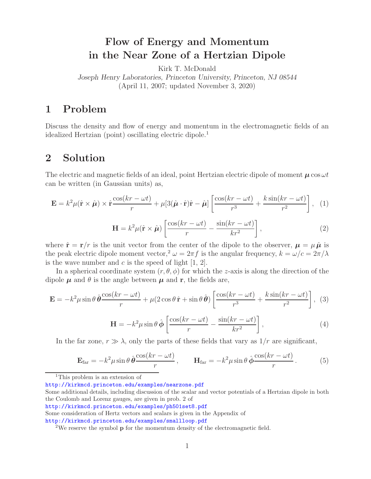# **Flow of Energy and Momentum in the Near Zone of a Hertzian Dipole**

Kirk T. McDonald *Joseph Henry Laboratories, Princeton University, Princeton, NJ 08544* (April 11, 2007; updated November 3, 2020)

## **1 Problem**

Discuss the density and flow of energy and momentum in the electromagnetic fields of an idealized Hertzian (point) oscillating electric dipole.<sup>1</sup>

## **2 Solution**

The electric and magnetic fields of an ideal, point Hertzian electric dipole of moment  $\mu \cos \omega t$ can be written (in Gaussian units) as,

$$
\mathbf{E} = k^2 \mu (\hat{\mathbf{r}} \times \hat{\boldsymbol{\mu}}) \times \hat{\mathbf{r}} \frac{\cos(kr - \omega t)}{r} + \mu [3(\hat{\boldsymbol{\mu}} \cdot \hat{\mathbf{r}}) \hat{\mathbf{r}} - \hat{\boldsymbol{\mu}}] \left[ \frac{\cos(kr - \omega t)}{r^3} + \frac{k \sin(kr - \omega t)}{r^2} \right], \quad (1)
$$

$$
\mathbf{H} = k^2 \mu (\hat{\mathbf{r}} \times \hat{\boldsymbol{\mu}}) \left[ \frac{\cos(kr - \omega t)}{r} - \frac{\sin(kr - \omega t)}{kr^2} \right],
$$
 (2)

where  $\hat{\mathbf{r}} = \mathbf{r}/r$  is the unit vector from the center of the dipole to the observer,  $\mu = \mu \hat{\mu}$  is the peak electric dipole moment vector,<sup>2</sup>  $\omega = 2\pi f$  is the angular frequency,  $k = \omega/c = 2\pi/\lambda$ is the wave number and  $c$  is the speed of light  $[1, 2]$ .

In a spherical coordinate system  $(r, \theta, \phi)$  for which the z-axis is along the direction of the dipole  $\mu$  and  $\theta$  is the angle between  $\mu$  and **r**, the fields are,

$$
\mathbf{E} = -k^2 \mu \sin \theta \, \hat{\boldsymbol{\theta}} \frac{\cos(kr - \omega t)}{r} + \mu (2 \cos \theta \, \hat{\mathbf{r}} + \sin \theta \, \hat{\boldsymbol{\theta}}) \left[ \frac{\cos(kr - \omega t)}{r^3} + \frac{k \sin(kr - \omega t)}{r^2} \right], \tag{3}
$$

$$
\mathbf{H} = -k^2 \mu \sin \theta \,\hat{\boldsymbol{\phi}} \left[ \frac{\cos(kr - \omega t)}{r} - \frac{\sin(kr - \omega t)}{kr^2} \right],\tag{4}
$$

In the far zone,  $r \gg \lambda$ , only the parts of these fields that vary as  $1/r$  are significant,

$$
\mathbf{E}_{\text{far}} = -k^2 \mu \sin \theta \, \hat{\boldsymbol{\theta}} \frac{\cos(kr - \omega t)}{r}, \qquad \mathbf{H}_{\text{far}} = -k^2 \mu \sin \theta \, \hat{\boldsymbol{\phi}} \frac{\cos(kr - \omega t)}{r}.
$$
 (5)

<sup>1</sup>This problem is an extension of

http://kirkmcd.princeton.edu/examples/nearzone.pdf

Some additional details, including discussion of the scalar and vector potentials of a Hertzian dipole in both the Coulomb and Lorenz gauges, are given in prob. 2 of

http://kirkmcd.princeton.edu/examples/ph501set8.pdf

Some consideration of Hertz vectors and scalars is given in the Appendix of

http://kirkmcd.princeton.edu/examples/smallloop.pdf

<sup>2</sup>We reserve the symbol **p** for the momentum density of the electromagnetic field.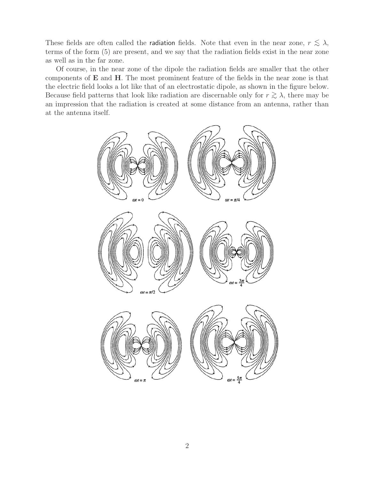These fields are often called the **radiation** fields. Note that even in the near zone,  $r \leq \lambda$ , terms of the form (5) are present, and we say that the radiation fields exist in the near zone as well as in the far zone.

Of course, in the near zone of the dipole the radiation fields are smaller that the other components of **E** and **H**. The most prominent feature of the fields in the near zone is that the electric field looks a lot like that of an electrostatic dipole, as shown in the figure below. Because field patterns that look like radiation are discernable only for  $r \gtrsim \lambda$ , there may be an impression that the radiation is created at some distance from an antenna, rather than at the antenna itself.

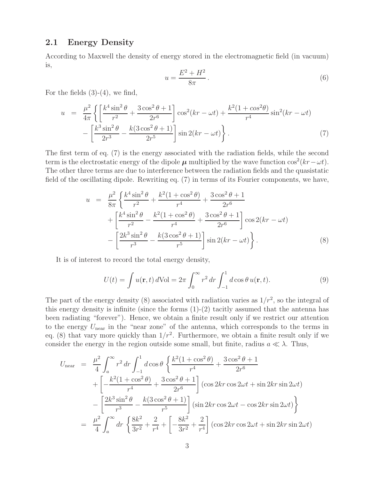### **2.1 Energy Density**

According to Maxwell the density of energy stored in the electromagnetic field (in vacuum) is,

$$
u = \frac{E^2 + H^2}{8\pi}.
$$
\n<sup>(6)</sup>

For the fields  $(3)-(4)$ , we find,

$$
u = \frac{\mu^2}{4\pi} \left\{ \left[ \frac{k^4 \sin^2 \theta}{r^2} + \frac{3 \cos^2 \theta + 1}{2r^6} \right] \cos^2(kr - \omega t) + \frac{k^2 (1 + \cos^2 \theta)}{r^4} \sin^2(kr - \omega t) - \left[ \frac{k^3 \sin^2 \theta}{2r^3} - \frac{k(3 \cos^2 \theta + 1)}{2r^5} \right] \sin 2(kr - \omega t) \right\}.
$$
 (7)

The first term of eq. (7) is the energy associated with the radiation fields, while the second term is the electrostatic energy of the dipole  $\mu$  multiplied by the wave function cos<sup>2</sup>(kr –  $\omega t$ ). The other three terms are due to interference between the radiation fields and the quasistatic field of the oscillating dipole. Rewriting eq. (7) in terms of its Fourier components, we have,

$$
u = \frac{\mu^2}{8\pi} \left\{ \frac{k^4 \sin^2 \theta}{r^2} + \frac{k^2 (1 + \cos^2 \theta)}{r^4} + \frac{3 \cos^2 \theta + 1}{2r^6} + \left[ \frac{k^4 \sin^2 \theta}{r^2} - \frac{k^2 (1 + \cos^2 \theta)}{r^4} + \frac{3 \cos^2 \theta + 1}{2r^6} \right] \cos 2(kr - \omega t) - \left[ \frac{2k^3 \sin^2 \theta}{r^3} - \frac{k(3 \cos^2 \theta + 1)}{r^5} \right] \sin 2(kr - \omega t) \right\}.
$$
 (8)

It is of interest to record the total energy density,

$$
U(t) = \int u(\mathbf{r}, t) d\text{Vol} = 2\pi \int_0^\infty r^2 dr \int_{-1}^1 d\cos\theta u(\mathbf{r}, t).
$$
 (9)

The part of the energy density (8) associated with radiation varies as  $1/r^2$ , so the integral of this energy density is infinite (since the forms  $(1)-(2)$  tacitly assumed that the antenna has been radiating "forever"). Hence, we obtain a finite result only if we restrict our attention to the energy  $U_{\text{near}}$  in the "near zone" of the antenna, which corresponds to the terms in eq. (8) that vary more quickly than  $1/r^2$ . Furthermore, we obtain a finite result only if we consider the energy in the region outside some small, but finite, radius  $a \ll \lambda$ . Thus,

$$
U_{\text{near}} = \frac{\mu^2}{4} \int_a^{\infty} r^2 dr \int_{-1}^1 d\cos\theta \left\{ \frac{k^2 (1 + \cos^2 \theta)}{r^4} + \frac{3 \cos^2 \theta + 1}{2r^6} + \left[ -\frac{k^2 (1 + \cos^2 \theta)}{r^4} + \frac{3 \cos^2 \theta + 1}{2r^6} \right] (\cos 2kr \cos 2\omega t + \sin 2kr \sin 2\omega t) - \left[ \frac{2k^3 \sin^2 \theta}{r^3} - \frac{k(3 \cos^2 \theta + 1)}{r^5} \right] (\sin 2kr \cos 2\omega t - \cos 2kr \sin 2\omega t) \right\}
$$
  
=  $\frac{\mu^2}{4} \int_a^{\infty} dr \left\{ \frac{8k^2}{3r^2} + \frac{2}{r^4} + \left[ -\frac{8k^2}{3r^2} + \frac{2}{r^4} \right] (\cos 2kr \cos 2\omega t + \sin 2kr \sin 2\omega t)$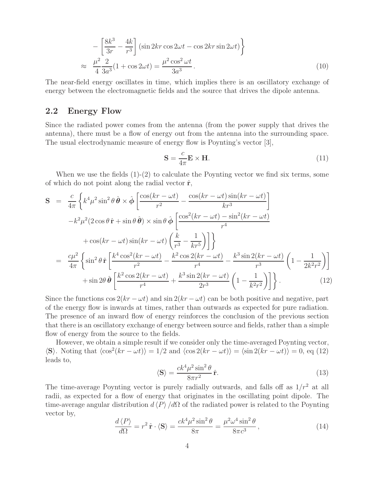$$
-\left[\frac{8k^3}{3r} - \frac{4k}{r^3}\right] \left(\sin 2kr \cos 2\omega t - \cos 2kr \sin 2\omega t\right)
$$
  

$$
\approx \frac{\mu^2}{4} \frac{2}{3a^3} (1 + \cos 2\omega t) = \frac{\mu^2 \cos^2 \omega t}{3a^3}.
$$
 (10)

The near-field energy oscillates in time, which implies there is an oscillatory exchange of energy between the electromagnetic fields and the source that drives the dipole antenna.

### **2.2 Energy Flow**

Since the radiated power comes from the antenna (from the power supply that drives the antenna), there must be a flow of energy out from the antenna into the surrounding space. The usual electrodynamic measure of energy flow is Poynting's vector [3],

$$
\mathbf{S} = \frac{c}{4\pi} \mathbf{E} \times \mathbf{H}.
$$
 (11)

When we use the fields  $(1)-(2)$  to calculate the Poynting vector we find six terms, some of which do not point along the radial vector  $\hat{\mathbf{r}}$ ,

$$
\mathbf{S} = \frac{c}{4\pi} \left\{ k^4 \mu^2 \sin^2 \theta \, \hat{\boldsymbol{\theta}} \times \hat{\boldsymbol{\phi}} \left[ \frac{\cos(kr - \omega t)}{r^2} - \frac{\cos(kr - \omega t) \sin(kr - \omega t)}{kr^3} \right] \right. \\ \left. - k^2 \mu^2 (2 \cos \theta \, \hat{\mathbf{r}} + \sin \theta \, \hat{\boldsymbol{\theta}}) \times \sin \theta \, \hat{\boldsymbol{\phi}} \left[ \frac{\cos^2(kr - \omega t) - \sin^2(kr - \omega t)}{r^4} \right. \\ \left. + \cos(kr - \omega t) \sin(kr - \omega t) \left( \frac{k}{r^3} - \frac{1}{kr^5} \right) \right] \right\} \\ = \frac{c\mu^2}{4\pi} \left\{ \sin^2 \theta \, \hat{\mathbf{r}} \left[ \frac{k^4 \cos^2(kr - \omega t)}{r^2} - \frac{k^2 \cos 2(kr - \omega t)}{r^4} - \frac{k^3 \sin 2(kr - \omega t)}{r^3} \left( 1 - \frac{1}{2k^2 r^2} \right) \right] \right. \\ \left. + \sin 2\theta \, \hat{\boldsymbol{\theta}} \left[ \frac{k^2 \cos 2(kr - \omega t)}{r^4} + \frac{k^3 \sin 2(kr - \omega t)}{2r^3} \left( 1 - \frac{1}{k^2 r^2} \right) \right] \right\} . \tag{12}
$$

Since the functions  $\cos 2(kr - \omega t)$  and  $\sin 2(kr - \omega t)$  can be both positive and negative, part of the energy flow is inwards at times, rather than outwards as expected for pure radiation. The presence of an inward flow of energy reinforces the conclusion of the previous section that there is an oscillatory exchange of energy between source and fields, rather than a simple flow of energy from the source to the fields.

However, we obtain a simple result if we consider only the time-averaged Poynting vector,  $\langle \mathbf{S} \rangle$ . Noting that  $\langle \cos^2(kr - \omega t) \rangle = 1/2$  and  $\langle \cos 2(kr - \omega t) \rangle = \langle \sin 2(kr - \omega t) \rangle = 0$ , eq (12) leads to,

$$
\langle \mathbf{S} \rangle = \frac{ck^4 \mu^2 \sin^2 \theta}{8\pi r^2} \hat{\mathbf{r}}.\tag{13}
$$

The time-average Poynting vector is purely radially outwards, and falls off as  $1/r^2$  at all radii, as expected for a flow of energy that originates in the oscillating point dipole. The time-average angular distribution  $d \langle P \rangle / d\Omega$  of the radiated power is related to the Poynting vector by,

$$
\frac{d\langle P\rangle}{d\Omega} = r^2 \,\hat{\mathbf{r}} \cdot \langle \mathbf{S} \rangle = \frac{ck^4 \mu^2 \sin^2 \theta}{8\pi} = \frac{\mu^2 \omega^4 \sin^2 \theta}{8\pi c^3},\tag{14}
$$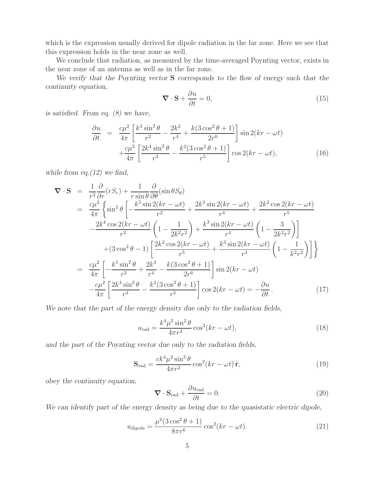which is the expression usually derived for dipole radiation in the far zone. Here we see that this expression holds in the near zone as well.

We conclude that radiation, as measured by the time-averaged Poynting vector, exists in the near zone of an antenna as well as in the far zone.

*We verify that the Poynting vector* **S** *corresponds to the flow of energy such that the continuity equation,*

$$
\nabla \cdot \mathbf{S} + \frac{\partial u}{\partial t} = 0,\tag{15}
$$

*is satisfied. From eq. (8) we have,*

$$
\frac{\partial u}{\partial t} = \frac{c\mu^2}{4\pi} \left[ \frac{k^5 \sin^2 \theta}{r^2} - \frac{2k^3}{r^4} + \frac{k(3\cos^2 \theta + 1)}{2r^6} \right] \sin 2(kr - \omega t) \n+ \frac{c\mu^2}{4\pi} \left[ \frac{2k^4 \sin^2 \theta}{r^3} - \frac{k^2(3\cos^2 \theta + 1)}{r^5} \right] \cos 2(kr - \omega t),
$$
\n(16)

*while from eq.(12) we find,*

$$
\nabla \cdot \mathbf{S} = \frac{1}{r^2} \frac{\partial}{\partial r} (rS_r) + \frac{1}{r \sin \theta} \frac{\partial}{\partial \theta} (\sin \theta S_{\theta})
$$
  
\n
$$
= \frac{c\mu^2}{4\pi} \left\{ \sin^2 \theta \left[ -\frac{k^5 \sin 2(kr - \omega t)}{r^2} + \frac{2k^3 \sin 2(kr - \omega t)}{r^4} + \frac{2k^2 \cos 2(kr - \omega t)}{r^5} - \frac{2k^4 \cos 2(kr - \omega t)}{r^3} \left( 1 - \frac{1}{2k^2 r^2} \right) + \frac{k^3 \sin 2(kr - \omega t)}{r^4} \left( 1 - \frac{3}{2k^2 r^2} \right) \right] + (3 \cos^2 \theta - 1) \left[ \frac{2k^2 \cos 2(kr - \omega t)}{r^5} + \frac{k^3 \sin 2(kr - \omega t)}{r^4} \left( 1 - \frac{1}{k^2 r^2} \right) \right] \right\}
$$
  
\n
$$
= \frac{c\mu^2}{4\pi} \left[ -\frac{k^5 \sin^2 \theta}{r^2} + \frac{2k^3}{r^4} - \frac{k(3 \cos^2 \theta + 1)}{2r^6} \right] \sin 2(kr - \omega t)
$$
  
\n
$$
- \frac{c\mu^2}{4\pi} \left[ \frac{2k^4 \sin^2 \theta}{r^3} - \frac{k^2 (3 \cos^2 \theta + 1)}{r^5} \right] \cos 2(kr - \omega t) = -\frac{\partial u}{\partial t}.
$$
 (17)

*We note that the part of the energy density due only to the radiation fields,*

$$
u_{\rm rad} = \frac{k^4 \mu^2 \sin^2 \theta}{4\pi r^2} \cos^2(kr - \omega t),\tag{18}
$$

*and the part of the Poynting vector due only to the radiation fields,*

$$
\mathbf{S}_{\text{rad}} = \frac{ck^4 \mu^2 \sin^2 \theta}{4\pi r^2} \cos^2(kr - \omega t) \,\hat{\mathbf{r}},\tag{19}
$$

*obey the continuity equation,*

$$
\nabla \cdot \mathbf{S}_{\text{rad}} + \frac{\partial u_{\text{rad}}}{\partial t} = 0. \tag{20}
$$

*We can identify part of the energy density as being due to the quasistatic electric dipole,*

$$
u_{\text{dipole}} = \frac{\mu^2 (3\cos^2\theta + 1)}{8\pi r^6} \cos^2(kr - \omega t). \tag{21}
$$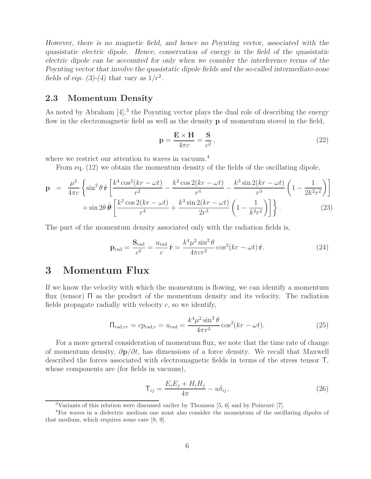*However, there is no magnetic field, and hence no Poynting vector, associated with the quasistatic electric dipole. Hence, conservation of energy in the field of the quasistatic electric dipole can be accounted for only when we consider the interference terms of the Poynting vector that involve the quasistatic dipole fields and the so-called intermediate-zone fields of eqs. (3)-(4) that vary as*  $1/r^2$ .

### **2.3 Momentum Density**

As noted by Abraham  $[4]$ ,<sup>3</sup> the Poynting vector plays the dual role of describing the energy flow in the electromagnetic field as well as the density **p** of momentum stored in the field,

$$
\mathbf{p} = \frac{\mathbf{E} \times \mathbf{H}}{4\pi c} = \frac{\mathbf{S}}{c^2},\tag{22}
$$

where we restrict our attention to waves in vacuum.<sup>4</sup>

From eq. (12) we obtain the momentum density of the fields of the oscillating dipole,

$$
\mathbf{p} = \frac{\mu^2}{4\pi c} \left\{ \sin^2 \theta \, \hat{\mathbf{r}} \left[ \frac{k^4 \cos^2(kr - \omega t)}{r^2} - \frac{k^2 \cos 2(kr - \omega t)}{r^4} - \frac{k^3 \sin 2(kr - \omega t)}{r^3} \left( 1 - \frac{1}{2k^2 r^2} \right) \right] + \sin 2\theta \, \hat{\theta} \left[ \frac{k^2 \cos 2(kr - \omega t)}{r^4} + \frac{k^3 \sin 2(kr - \omega t)}{2r^3} \left( 1 - \frac{1}{k^2 r^2} \right) \right] \right\}.
$$
 (23)

The part of the momentum density associated only with the radiation fields is,

$$
\mathbf{p}_{\rm rad} = \frac{\mathbf{S}_{\rm rad}}{c^2} = \frac{u_{\rm rad}}{c} \hat{\mathbf{r}} = \frac{k^4 \mu^2 \sin^2 \theta}{4\pi c r^2} \cos^2(kr - \omega t) \hat{\mathbf{r}}.
$$
 (24)

### **3 Momentum Flux**

If we know the velocity with which the momentum is flowing, we can identify a momentum flux (tensor) Π as the product of the momentum density and its velocity. The radiation fields propagate radially with velocity  $c$ , so we identify,

$$
\Pi_{\text{rad},rr} = cp_{\text{rad},r} = u_{\text{rad}} = \frac{k^4 \mu^2 \sin^2 \theta}{4\pi r^2} \cos^2(kr - \omega t). \tag{25}
$$

For a more general consideration of momentum flux, we note that the time rate of change of momentum density, ∂**p**/∂t, has dimensions of a force density. We recall that Maxwell described the forces associated with electromagnetic fields in terms of the stress tensor T, whose components are (for fields in vacuum),

$$
\mathsf{T}_{ij} = \frac{E_i E_j + H_i H_j}{4\pi} - u\delta_{ij},\tag{26}
$$

<sup>&</sup>lt;sup>3</sup>Variants of this relation were discussed earlier by Thomson  $[5, 6]$  and by Poincaré  $[7]$ .

<sup>4</sup>For waves in a dielectric medium one must also consider the momentum of the oscillating dipoles of that medium, which requires some care [8, 9].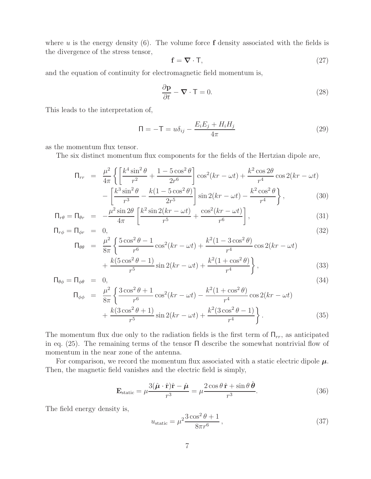where u is the energy density  $(6)$ . The volume force **f** density associated with the fields is the divergence of the stress tensor,

$$
\mathbf{f} = \nabla \cdot \mathbf{T},\tag{27}
$$

and the equation of continuity for electromagnetic field momentum is,

$$
\frac{\partial \mathbf{p}}{\partial t} - \mathbf{\nabla} \cdot \mathbf{T} = 0.
$$
 (28)

This leads to the interpretation of,

$$
\Pi = -\mathsf{T} = u\delta_{ij} - \frac{E_i E_j + H_i H_j}{4\pi} \tag{29}
$$

as the momentum flux tensor.

The six distinct momentum flux components for the fields of the Hertzian dipole are,

$$
\Pi_{rr} = \frac{\mu^2}{4\pi} \left\{ \left[ \frac{k^4 \sin^2 \theta}{r^2} + \frac{1 - 5 \cos^2 \theta}{2r^6} \right] \cos^2(kr - \omega t) + \frac{k^2 \cos 2\theta}{r^4} \cos 2(kr - \omega t) - \left[ \frac{k^3 \sin^2 \theta}{r^3} - \frac{k(1 - 5 \cos^2 \theta)}{2r^5} \right] \sin 2(kr - \omega t) - \frac{k^2 \cos^2 \theta}{r^4} \right\},
$$
\n(30)

$$
\Pi_{r\theta} = \Pi_{\theta r} = -\frac{\mu^2 \sin 2\theta}{4\pi} \left[ \frac{k^2 \sin 2(kr - \omega t)}{r^5} + \frac{\cos^2(kr - \omega t)}{r^6} \right],
$$
\n(31)

$$
\Pi_{r\phi} = \Pi_{\phi r} = 0,
$$
\n
$$
\Pi_{\theta\theta} = \frac{\mu^2}{8\pi} \left\{ \frac{5\cos^2\theta - 1}{r^6} \cos^2(kr - \omega t) + \frac{k^2(1 - 3\cos^2\theta)}{r^4} \cos 2(kr - \omega t) \right\}
$$
\n(32)

$$
\frac{8\pi}{8\pi} \left\{ \frac{r^6}{r^6} \cos(\kappa r - \omega t) + \frac{r^4}{r^4} \cos 2(\kappa r - \omega t) + \frac{k(5\cos^2\theta - 1)}{r^5} \sin 2(kr - \omega t) + \frac{k^2(1 + \cos^2\theta)}{r^4} \right\},
$$
\n(33)

$$
\Pi_{\theta\phi} = \Pi_{\phi\theta} = 0,
$$
\n
$$
\Pi_{\phi\phi} = \frac{\mu^2}{8\pi} \left\{ \frac{3\cos^2\theta + 1}{r^6} \cos^2(kr - \omega t) - \frac{k^2(1 + \cos^2\theta)}{r^4} \cos^2(kr - \omega t) + \frac{k(3\cos^2\theta + 1)}{r^5} \sin 2(kr - \omega t) + \frac{k^2(3\cos^2\theta - 1)}{r^4} \right\}.
$$
\n(34)

The momentum flux due only to the radiation fields is the first term of  $\Pi_{rr}$ , as anticipated in eq.  $(25)$ . The remaining terms of the tensor  $\Pi$  describe the somewhat nontrivial flow of momentum in the near zone of the antenna.

For comparison, we record the momentum flux associated with a static electric dipole  $\mu$ . Then, the magnetic field vanishes and the electric field is simply,

$$
\mathbf{E}_{\text{static}} = \mu \frac{3(\hat{\boldsymbol{\mu}} \cdot \hat{\mathbf{r}})\hat{\mathbf{r}} - \hat{\boldsymbol{\mu}}}{r^3} = \mu \frac{2\cos\theta\,\hat{\mathbf{r}} + \sin\theta\,\hat{\boldsymbol{\theta}}}{r^3}.
$$
 (36)

The field energy density is,

$$
u_{\text{static}} = \mu^2 \frac{3 \cos^2 \theta + 1}{8\pi r^6},\tag{37}
$$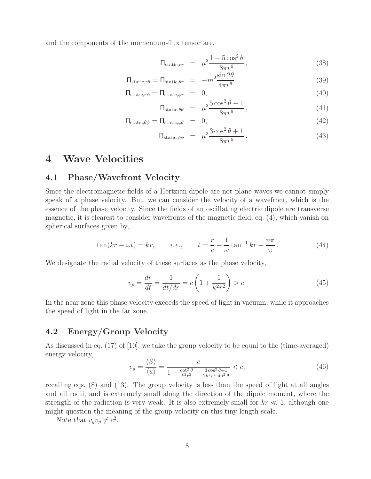and the components of the momentum-flux tensor are,

$$
\Pi_{\text{static},rr} = \mu^2 \frac{1 - 5\cos^2\theta}{8\pi r^6},\tag{38}
$$

$$
\Pi_{\text{static},r\theta} = \Pi_{\text{static},\theta r} = -m^2 \frac{\sin 2\theta}{4\pi r^6},\tag{39}
$$

$$
\Pi_{\text{static},r\phi} = \Pi_{\text{static},\phi r} = 0, \tag{40}
$$

$$
\Pi_{\text{static},\theta\theta} = \mu^2 \frac{5\cos^2\theta - 1}{8\pi r^6},\tag{41}
$$

$$
\Pi_{\text{static},\theta\phi} = \Pi_{\text{static},\phi\theta} = 0,\tag{42}
$$

$$
\Pi_{\text{static},\phi\phi} = \mu^2 \frac{3\cos^2\theta + 1}{8\pi r^6}.
$$
\n(43)

### **4 Wave Velocities**

### **4.1 Phase/Wavefront Velocity**

Since the electromagnetic fields of a Hertzian dipole are not plane waves we cannot simply speak of a phase velocity. But, we can consider the velocity of a wavefront, which is the essence of the phase velocity. Since the fields of an oscillating electric dipole are transverse magnetic, it is clearest to consider wavefronts of the magnetic field, eq. (4), which vanish on spherical surfaces given by,

$$
\tan(kr - \omega t) = kr, \qquad i.e., \qquad t = \frac{r}{c} - \frac{1}{\omega} \tan^{-1} kr + \frac{n\pi}{\omega}.
$$
\n(44)

We designate the radial velocity of these surfaces as the phase velocity,

$$
v_p = \frac{dr}{dt} = \frac{1}{dt/dr} = c\left(1 + \frac{1}{k^2r^2}\right) > c.
$$
 (45)

In the near zone this phase velocity exceeds the speed of light in vacuum, while it approaches the speed of light in the far zone.

### **4.2 Energy/Group Velocity**

As discussed in eq. (17) of [10], we take the group velocity to be equal to the (time-averaged) energy velocity,

$$
v_g = \frac{\langle S \rangle}{\langle u \rangle} = \frac{c}{1 + \frac{\cot^2 \theta}{k^2 r^2} + \frac{3 \cos^2 \theta + 1}{2k^4 r^4 \sin^2 \theta}} < c,\tag{46}
$$

recalling eqs. (8) and (13). The group velocity is less than the speed of light at all angles and all radii, and is extremely small along the direction of the dipole moment, where the strength of the radiation is very weak. It is also extremely small for  $kr \ll 1$ , although one might question the meaning of the group velocity on this tiny length scale.

*Note that*  $v_qv_p \neq c^2$ *.*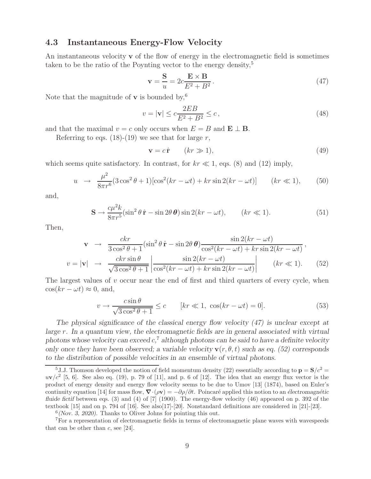### **4.3 Instantaneous Energy-Flow Velocity**

An instantaneous velocity **v** of the flow of energy in the electromagnetic field is sometimes taken to be the ratio of the Poynting vector to the energy density,<sup>5</sup>

$$
\mathbf{v} = \frac{\mathbf{S}}{u} = 2c \frac{\mathbf{E} \times \mathbf{B}}{E^2 + B^2}.
$$
 (47)

Note that the magnitude of **v** is bounded by,<sup>6</sup>

$$
v = |\mathbf{v}| \le c \frac{2EB}{E^2 + B^2} \le c,
$$
\n
$$
(48)
$$

and that the maximal  $v = c$  only occurs when  $E = B$  and  $\mathbf{E} \perp \mathbf{B}$ .

Referring to eqs.  $(18)-(19)$  we see that for large r,

$$
\mathbf{v} = c\,\hat{\mathbf{r}} \qquad (kr \gg 1),\tag{49}
$$

which seems quite satisfactory. In contrast, for  $kr \ll 1$ , eqs. (8) and (12) imply,

$$
u \rightarrow \frac{\mu^2}{8\pi r^6} (3\cos^2\theta + 1) [\cos^2(kr - \omega t) + kr\sin 2(kr - \omega t)] \qquad (kr \ll 1), \qquad (50)
$$

and,

$$
\mathbf{S} \to \frac{c\mu^2 k}{8\pi r^5} (\sin^2 \theta \,\hat{\mathbf{r}} - \sin 2\theta \,\theta) \sin 2(kr - \omega t), \qquad (kr \ll 1). \tag{51}
$$

Then,

$$
\mathbf{v} \rightarrow \frac{ckr}{3\cos^2\theta + 1} (\sin^2\theta \,\hat{\mathbf{r}} - \sin 2\theta \,\theta) \frac{\sin 2(kr - \omega t)}{\cos^2(kr - \omega t) + kr\sin 2(kr - \omega t)},
$$
  

$$
v = |\mathbf{v}| \rightarrow \frac{ckr\sin\theta}{\sqrt{3\cos^2\theta + 1}} \left| \frac{\sin 2(kr - \omega t)}{\cos^2(kr - \omega t) + kr\sin 2(kr - \omega t)} \right| \qquad (kr \ll 1). \tag{52}
$$

The largest values of  $v$  occur near the end of first and third quarters of every cycle, when  $\cos(kr - \omega t) \approx 0$ , and,

$$
v \to \frac{c \sin \theta}{\sqrt{3 \cos^2 \theta + 1}} \le c \qquad [kr \ll 1, \ \cos(kr - \omega t) = 0]. \tag{53}
$$

*The physical significance of the classical energy flow velocity (47) is unclear except at large* r*. In a quantum view, the electromagnetic fields are in general associated with virtual photons whose velocity can exceed* c*,* <sup>7</sup> *although photons can be said to have a definite velocity only once they have been observed; a variable velocity*  $\mathbf{v}(r, \theta, t)$  *such as eq.* (52) corresponds *to the distribution of possible velocities in an ensemble of virtual photons.*

<sup>&</sup>lt;sup>5</sup>J.J. Thomson developed the notion of field momentum density (22) essentially according to  $\mathbf{p} = \mathbf{S}/c^2 =$  $uv/c^2$  [5, 6]. See also eq. (19), p. 79 of [11], and p. 6 of [12]. The idea that an energy flux vector is the product of energy density and energy flow velocity seems to be due to Umov [13] (1874), based on Euler's continuity equation [14] for mass flow,  $\nabla \cdot (\rho \mathbf{v}) = -\partial \rho / \partial t$ . Poincaré applied this notion to an *électromagnétic fluide fictif* between eqs. (3) and (4) of [7] (1900). The energy-flow velocity (46) appeared on p. 392 of the textbook [15] and on p. 794 of [16]. See also[17]-[20]. Nonstandard definitions are considered in [21]-[23].

<sup>6</sup>*(Nov. 3, 2020).* Thanks to Oliver Johns for pointing this out.

<sup>7</sup>For a representation of electromagnetic fields in terms of electromagnetic plane waves with wavespeeds that can be other than  $c$ , see [24].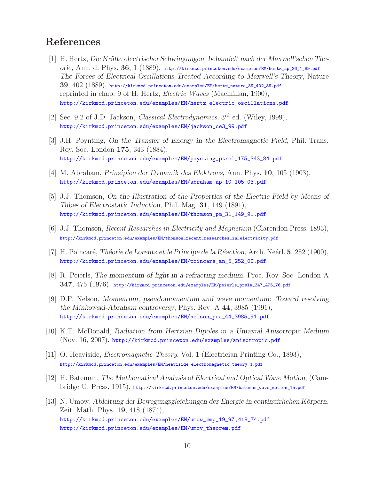## **References**

- [1] H. Hertz, *Die Kräfte electrischer Schwingungen, behandelt nach der Maxwell'schen Theorie*, Ann. d. Phys. **36**, 1 (1889), http://kirkmcd.princeton.edu/examples/EM/hertz\_ap\_36\_1\_89.pdf *The Forces of Electrical Oscillations Treated According to Maxwell's Theory*, Nature **39**, 402 (1889), http://kirkmcd.princeton.edu/examples/EM/hertz\_nature\_39\_402\_89.pdf reprinted in chap. 9 of H. Hertz, *Electric Waves* (Macmillan, 1900), http://kirkmcd.princeton.edu/examples/EM/hertz\_electric\_oscillations.pdf
- [2] Sec. 9.2 of J.D. Jackson, *Classical Electrodynamics*, 3rd ed. (Wiley, 1999), http://kirkmcd.princeton.edu/examples/EM/jackson\_ce3\_99.pdf
- [3] J.H. Poynting, *On the Transfer of Energy in the Electromagnetic Field*, Phil. Trans. Roy. Soc. London **175**, 343 (1884), http://kirkmcd.princeton.edu/examples/EM/poynting\_ptrsl\_175\_343\_84.pdf
- [4] M. Abraham, *Prinzipien der Dynamik des Elektrons*, Ann. Phys. **10**, 105 (1903), http://kirkmcd.princeton.edu/examples/EM/abraham\_ap\_10\_105\_03.pdf
- [5] J.J. Thomson, *On the Illustration of the Properties of the Electric Field by Means of Tubes of Electrostatic Induction*, Phil. Mag. **31**, 149 (1891), http://kirkmcd.princeton.edu/examples/EM/thomson\_pm\_31\_149\_91.pdf
- [6] J.J. Thomson, *Recent Researches in Electricity and Magnetism* (Clarendon Press, 1893), http://kirkmcd.princeton.edu/examples/EM/thomson\_recent\_researches\_in\_electricity.pdf
- [7] H. Poincar´e, *Th´eorie de Lorentz et le Principe de la R´eaction*, Arch. Ne´erl. **5**, 252 (1900), http://kirkmcd.princeton.edu/examples/EM/poincare\_an\_5\_252\_00.pdf
- [8] R. Peierls, *The momentum of light in a refracting medium*, Proc. Roy. Soc. London A **347**, 475 (1976), http://kirkmcd.princeton.edu/examples/EM/peierls\_prsla\_347\_475\_76.pdf
- [9] D.F. Nelson, *Momentum, pseudomomentum and wave momentum: Toward resolving the Minkowski-Abraham controversy*, Phys. Rev. A **44**, 3985 (1991), http://kirkmcd.princeton.edu/examples/EM/nelson\_pra\_44\_3985\_91.pdf
- [10] K.T. McDonald, *Radiation from Hertzian Dipoles in a Uniaxial Anisotropic Medium* (Nov. 16, 2007), http://kirkmcd.princeton.edu/examples/anisotropic.pdf
- [11] O. Heaviside, *Electromagnetic Theory*, Vol. 1 (Electrician Printing Co., 1893), http://kirkmcd.princeton.edu/examples/EM/heaviside\_electromagnetic\_theory\_1.pdf
- [12] H. Bateman, *The Mathematical Analysis of Electrical and Optical Wave Motion*, (Cambridge U. Press, 1915), http://kirkmcd.princeton.edu/examples/EM/bateman\_wave\_motion\_15.pdf
- [13] N. Umow, *Ableitung der Bewegungsgleichungen der Energie in continuirlichen Körpern*, Zeit. Math. Phys. **19**, 418 (1874), http://kirkmcd.princeton.edu/examples/EM/umow\_zmp\_19\_97,418\_74.pdf http://kirkmcd.princeton.edu/examples/EM/umov\_theorem.pdf